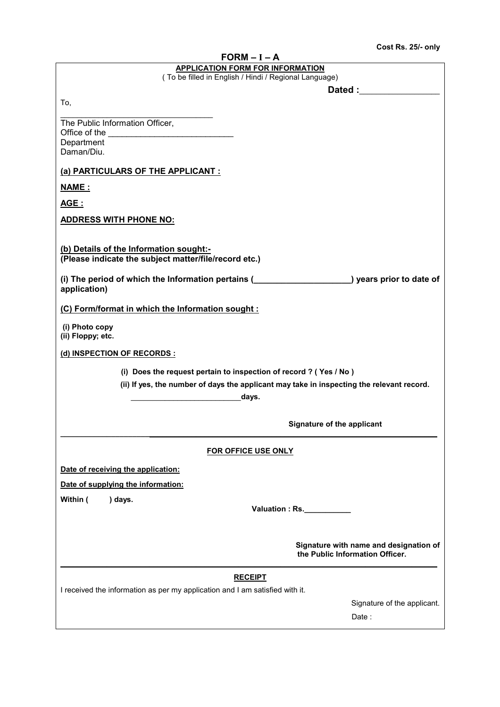| $FORM - I - A$                                                                                                                                           |
|----------------------------------------------------------------------------------------------------------------------------------------------------------|
| <b>APPLICATION FORM FOR INFORMATION</b><br>(To be filled in English / Hindi / Regional Language)                                                         |
| Dated : _________________                                                                                                                                |
| To,                                                                                                                                                      |
|                                                                                                                                                          |
| The Public Information Officer,                                                                                                                          |
| Department                                                                                                                                               |
| Daman/Diu.                                                                                                                                               |
| (a) PARTICULARS OF THE APPLICANT :                                                                                                                       |
| <b>NAME:</b>                                                                                                                                             |
| <u>AGE :</u>                                                                                                                                             |
| <b>ADDRESS WITH PHONE NO:</b>                                                                                                                            |
|                                                                                                                                                          |
| (b) Details of the Information sought:-                                                                                                                  |
| (Please indicate the subject matter/file/record etc.)                                                                                                    |
| (i) The period of which the Information pertains ( (i) The period of which the Information pertains ( (i) The period of which the Information pertains ( |
| application)                                                                                                                                             |
| (C) Form/format in which the Information sought :                                                                                                        |
| (i) Photo copy                                                                                                                                           |
| (ii) Floppy; etc.                                                                                                                                        |
| (d) INSPECTION OF RECORDS :                                                                                                                              |
| (i) Does the request pertain to inspection of record ? (Yes / No)                                                                                        |
| (ii) If yes, the number of days the applicant may take in inspecting the relevant record.                                                                |
| days.                                                                                                                                                    |
|                                                                                                                                                          |
| Signature of the applicant                                                                                                                               |
|                                                                                                                                                          |
| <b>FOR OFFICE USE ONLY</b>                                                                                                                               |
| Date of receiving the application:                                                                                                                       |
| Date of supplying the information:                                                                                                                       |
| Within (<br>) days.                                                                                                                                      |
| Valuation : Rs.                                                                                                                                          |
|                                                                                                                                                          |
| Signature with name and designation of<br>the Public Information Officer.                                                                                |
| <b>RECEIPT</b>                                                                                                                                           |
| I received the information as per my application and I am satisfied with it.                                                                             |
| Signature of the applicant.                                                                                                                              |
| Data:                                                                                                                                                    |

Date :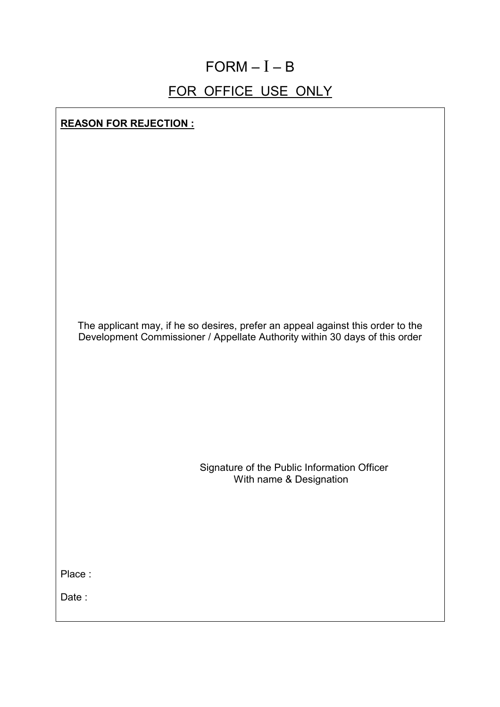## $FORM - I - B$

## FOR OFFICE USE ONLY

**REASON FOR REJECTION :**

| The applicant may, if he so desires, prefer an appeal against this order to the<br>Development Commissioner / Appellate Authority within 30 days of this order |
|----------------------------------------------------------------------------------------------------------------------------------------------------------------|
| Signature of the Public Information Officer<br>With name & Designation                                                                                         |
| Place:<br>Date:                                                                                                                                                |